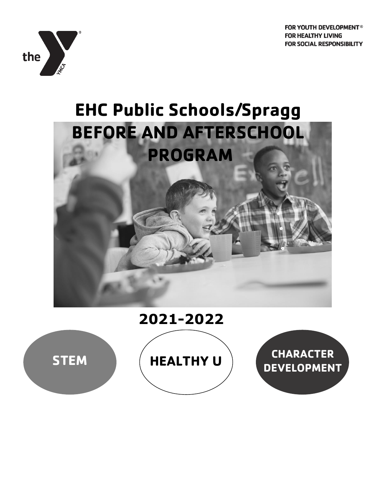









**DEVELOPMENT**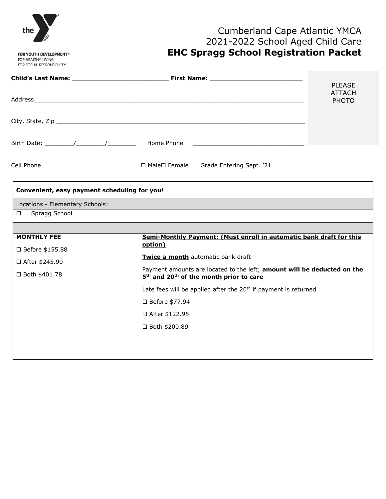

# Cumberland Cape Atlantic YMCA 2021-2022 School Aged Child Care **EHC Spragg School Registration Packet**

|                                              |                                                                                                                                            | <b>PLEASE</b>                 |
|----------------------------------------------|--------------------------------------------------------------------------------------------------------------------------------------------|-------------------------------|
|                                              |                                                                                                                                            | <b>ATTACH</b><br><b>PHOTO</b> |
|                                              |                                                                                                                                            |                               |
|                                              | Birth Date: $\sqrt{2\pi}$ / $\sqrt{2\pi}$ Home Phone                                                                                       |                               |
|                                              |                                                                                                                                            |                               |
| Convenient, easy payment scheduling for you! |                                                                                                                                            |                               |
| Locations - Elementary Schools:              |                                                                                                                                            |                               |
| Spragg School<br>$\Box$                      |                                                                                                                                            |                               |
|                                              |                                                                                                                                            |                               |
| <b>MONTHLY FEE</b>                           | Semi-Monthly Payment: (Must enroll in automatic bank draft for this<br>option)                                                             |                               |
| □ Before \$155.88                            |                                                                                                                                            |                               |
| □ After \$245.90                             | Twice a month automatic bank draft                                                                                                         |                               |
| □ Both \$401.78                              | Payment amounts are located to the left; amount will be deducted on the<br>5 <sup>th</sup> and 20 <sup>th</sup> of the month prior to care |                               |
|                                              | Late fees will be applied after the 20 <sup>th</sup> if payment is returned                                                                |                               |
|                                              | □ Before \$77.94                                                                                                                           |                               |
|                                              | □ After \$122.95                                                                                                                           |                               |
|                                              | □ Both \$200.89                                                                                                                            |                               |
|                                              |                                                                                                                                            |                               |
|                                              |                                                                                                                                            |                               |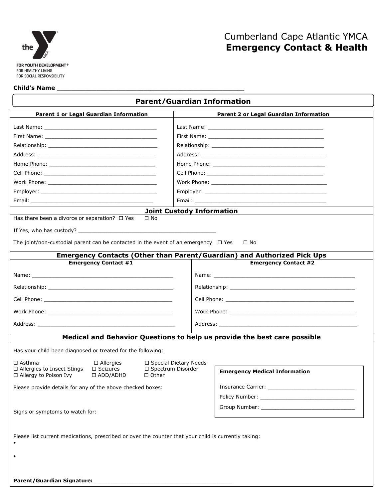

# Cumberland Cape Atlantic YMCA **Emergency Contact & Health**

### **Child's Name** \_\_\_\_\_\_\_\_\_\_\_\_\_\_\_\_\_\_\_\_\_\_\_\_\_\_\_\_\_\_\_\_\_\_\_\_\_\_\_\_\_\_\_\_\_\_\_\_\_\_\_\_

| <b>Parent/Guardian Information</b>                                                                            |                                                                                                                                                                                                                               |                                                                                                                                                                                                                                |  |
|---------------------------------------------------------------------------------------------------------------|-------------------------------------------------------------------------------------------------------------------------------------------------------------------------------------------------------------------------------|--------------------------------------------------------------------------------------------------------------------------------------------------------------------------------------------------------------------------------|--|
| <b>Parent 1 or Legal Guardian Information</b>                                                                 |                                                                                                                                                                                                                               | <b>Parent 2 or Legal Guardian Information</b>                                                                                                                                                                                  |  |
|                                                                                                               |                                                                                                                                                                                                                               |                                                                                                                                                                                                                                |  |
|                                                                                                               |                                                                                                                                                                                                                               |                                                                                                                                                                                                                                |  |
|                                                                                                               |                                                                                                                                                                                                                               |                                                                                                                                                                                                                                |  |
|                                                                                                               |                                                                                                                                                                                                                               |                                                                                                                                                                                                                                |  |
|                                                                                                               |                                                                                                                                                                                                                               |                                                                                                                                                                                                                                |  |
|                                                                                                               |                                                                                                                                                                                                                               |                                                                                                                                                                                                                                |  |
|                                                                                                               |                                                                                                                                                                                                                               |                                                                                                                                                                                                                                |  |
|                                                                                                               |                                                                                                                                                                                                                               |                                                                                                                                                                                                                                |  |
|                                                                                                               |                                                                                                                                                                                                                               |                                                                                                                                                                                                                                |  |
|                                                                                                               | <b>Joint Custody Information</b>                                                                                                                                                                                              |                                                                                                                                                                                                                                |  |
| Has there been a divorce or separation? $\Box$ Yes<br>$\Box$ No                                               |                                                                                                                                                                                                                               |                                                                                                                                                                                                                                |  |
|                                                                                                               |                                                                                                                                                                                                                               |                                                                                                                                                                                                                                |  |
| The joint/non-custodial parent can be contacted in the event of an emergency $\Box$ Yes                       |                                                                                                                                                                                                                               | $\Box$ No                                                                                                                                                                                                                      |  |
|                                                                                                               |                                                                                                                                                                                                                               | Emergency Contacts (Other than Parent/Guardian) and Authorized Pick Ups                                                                                                                                                        |  |
| <b>Emergency Contact #1</b>                                                                                   |                                                                                                                                                                                                                               | <b>Emergency Contact #2</b>                                                                                                                                                                                                    |  |
|                                                                                                               |                                                                                                                                                                                                                               |                                                                                                                                                                                                                                |  |
|                                                                                                               |                                                                                                                                                                                                                               |                                                                                                                                                                                                                                |  |
|                                                                                                               |                                                                                                                                                                                                                               |                                                                                                                                                                                                                                |  |
|                                                                                                               | Work Phone: when the contract of the contract of the contract of the contract of the contract of the contract of the contract of the contract of the contract of the contract of the contract of the contract of the contract |                                                                                                                                                                                                                                |  |
|                                                                                                               |                                                                                                                                                                                                                               | Address: the contract of the contract of the contract of the contract of the contract of the contract of the contract of the contract of the contract of the contract of the contract of the contract of the contract of the c |  |
|                                                                                                               |                                                                                                                                                                                                                               | Medical and Behavior Questions to help us provide the best care possible                                                                                                                                                       |  |
| Has your child been diagnosed or treated for the following:                                                   |                                                                                                                                                                                                                               |                                                                                                                                                                                                                                |  |
| $\Box$ Asthma<br>$\Box$ Allergies                                                                             | □ Special Dietary Needs                                                                                                                                                                                                       |                                                                                                                                                                                                                                |  |
| □ Allergies to Insect Stings<br>$\Box$ Seizures<br>□ Allergy to Poison Ivy<br>$\Box$ ADD/ADHD<br>$\Box$ Other | □ Spectrum Disorder                                                                                                                                                                                                           | <b>Emergency Medical Information</b>                                                                                                                                                                                           |  |
| Please provide details for any of the above checked boxes:                                                    |                                                                                                                                                                                                                               |                                                                                                                                                                                                                                |  |
|                                                                                                               |                                                                                                                                                                                                                               |                                                                                                                                                                                                                                |  |
|                                                                                                               |                                                                                                                                                                                                                               |                                                                                                                                                                                                                                |  |
| Signs or symptoms to watch for:                                                                               |                                                                                                                                                                                                                               |                                                                                                                                                                                                                                |  |
| Please list current medications, prescribed or over the counter that your child is currently taking:          |                                                                                                                                                                                                                               |                                                                                                                                                                                                                                |  |
| <b>Parent/Guardian Signature:</b>                                                                             |                                                                                                                                                                                                                               |                                                                                                                                                                                                                                |  |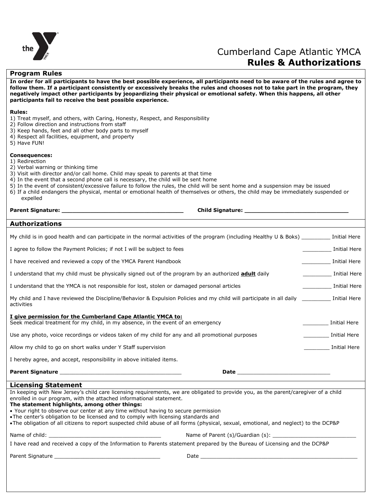

# Cumberland Cape Atlantic YMCA **Rules & Authorizations**

## **Program Rules**

**In order for all participants to have the best possible experience, all participants need to be aware of the rules and agree to follow them. If a participant consistently or excessively breaks the rules and chooses not to take part in the program, they negatively impact other participants by jeopardizing their physical or emotional safety. When this happens, all other participants fail to receive the best possible experience.**

### **Rules:**

- 1) Treat myself, and others, with Caring, Honesty, Respect, and Responsibility
- 2) Follow direction and instructions from staff
- 3) Keep hands, feet and all other body parts to myself
- 4) Respect all facilities, equipment, and property
- 5) Have FUN!

### **Consequences:**

- 1) Redirection
- 2) Verbal warning or thinking time
- 3) Visit with director and/or call home. Child may speak to parents at that time
- 4) In the event that a second phone call is necessary, the child will be sent home
- 5) In the event of consistent/excessive failure to follow the rules, the child will be sent home and a suspension may be issued
- 6) If a child endangers the physical, mental or emotional health of themselves or others, the child may be immediately suspended or expelled

| Parent Signature:     |  |
|-----------------------|--|
| <b>Authorizations</b> |  |

**Parent Signature: \_\_\_\_\_\_\_\_\_\_\_\_\_\_\_\_\_\_\_\_\_\_\_\_\_\_\_\_\_\_\_\_\_\_ Child Signature: \_\_\_\_\_\_\_\_\_\_\_\_\_\_\_\_\_\_\_\_\_\_\_\_\_\_\_\_\_**

| My child is in good health and can participate in the normal activities of the program (including Healthy U & Boks) _________ Initial Here                                                                 |                                                                                                                                                                                                                                |
|------------------------------------------------------------------------------------------------------------------------------------------------------------------------------------------------------------|--------------------------------------------------------------------------------------------------------------------------------------------------------------------------------------------------------------------------------|
| I agree to follow the Payment Policies; if not I will be subject to fees                                                                                                                                   | Initial Here                                                                                                                                                                                                                   |
| I have received and reviewed a copy of the YMCA Parent Handbook                                                                                                                                            | Initial Here                                                                                                                                                                                                                   |
| I understand that my child must be physically signed out of the program by an authorized <b>adult</b> daily                                                                                                | <b>Example 1</b> Initial Here                                                                                                                                                                                                  |
| I understand that the YMCA is not responsible for lost, stolen or damaged personal articles                                                                                                                | Initial Here                                                                                                                                                                                                                   |
| My child and I have reviewed the Discipline/Behavior & Expulsion Policies and my child will participate in all daily [Initial Here<br>activities                                                           |                                                                                                                                                                                                                                |
| I give permission for the Cumberland Cape Atlantic YMCA to:<br>Seek medical treatment for my child, in my absence, in the event of an emergency                                                            | <b>Initial Here</b>                                                                                                                                                                                                            |
| Use any photo, voice recordings or videos taken of my child for any and all promotional purposes                                                                                                           | Initial Here                                                                                                                                                                                                                   |
| Allow my child to go on short walks under Y Staff supervision                                                                                                                                              | Initial Here                                                                                                                                                                                                                   |
| I hereby agree, and accept, responsibility in above initialed items.                                                                                                                                       |                                                                                                                                                                                                                                |
| <b>Parent Signature Example 2014</b>                                                                                                                                                                       | Date and the contract of the contract of the contract of the contract of the contract of the contract of the contract of the contract of the contract of the contract of the contract of the contract of the contract of the c |
| <b>Licensing Statement</b>                                                                                                                                                                                 |                                                                                                                                                                                                                                |
| In keeping with New Jersey's child care licensing requirements, we are obligated to provide you, as the parent/caregiver of a child<br>enrolled in our program, with the attached informational statement. |                                                                                                                                                                                                                                |
| The statement highlights, among other things:<br>$\bullet$ Your right to observe our center at any time without having to secure permission                                                                |                                                                                                                                                                                                                                |

ight to observe our center at any time without having to secure permission

The center's obligation to be licensed and to comply with licensing standards and

The obligation of all citizens to report suspected child abuse of all forms (physical, sexual, emotional, and neglect) to the DCP&P

Name of child: example and the set of Parent (s)/Guardian (s):  $\blacksquare$ 

I have read and received a copy of the Information to Parents statement prepared by the Bureau of Licensing and the DCP&P

Parent Signature \_\_\_\_\_\_\_\_\_\_\_\_\_\_\_\_\_\_\_\_\_\_\_\_\_\_\_\_\_\_\_\_\_ Date \_\_\_\_\_\_\_\_\_\_\_\_\_\_\_\_\_\_\_\_\_\_\_\_\_\_\_\_\_\_\_\_\_\_\_\_\_\_\_\_\_\_\_\_\_\_\_\_\_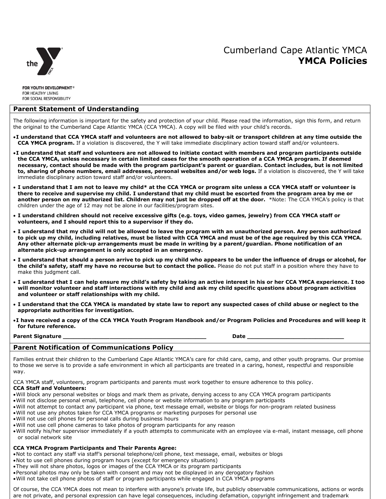

### **Parent Statement of Understanding**

The following information is important for the safety and protection of your child. Please read the information, sign this form, and return the original to the Cumberland Cape Atlantic YMCA (CCA YMCA). A copy will be filed with your child's records.

- **I understand that CCA YMCA staff and volunteers are not allowed to baby-sit or transport children at any time outside the CCA YMCA program.** If a violation is discovered, the Y will take immediate disciplinary action toward staff and/or volunteers.
- **I understand that staff and volunteers are not allowed to initiate contact with members and program participants outside the CCA YMCA, unless necessary in certain limited cases for the smooth operation of a CCA YMCA program. If deemed necessary, contact should be made with the program participant's parent or guardian. Contact includes, but is not limited to, sharing of phone numbers, email addresses, personal websites and/or web logs.** If a violation is discovered, the Y will take immediate disciplinary action toward staff and/or volunteers.
- **I understand that I am not to leave my child\* at the CCA YMCA or program site unless a CCA YMCA staff or volunteer is there to receive and supervise my child. I understand that my child must be escorted from the program area by me or another person on my authorized list. Children may not just be dropped off at the door.** \*Note: The CCA YMCA's policy is that children under the age of 12 may not be alone in our facilities/program sites.
- **I understand children should not receive excessive gifts (e.g. toys, video games, jewelry) from CCA YMCA staff or volunteers, and I should report this to a supervisor if they do.**
- **I understand that my child will not be allowed to leave the program with an unauthorized person. Any person authorized to pick up my child, including relatives, must be listed with CCA YMCA and must be of the age required by this CCA YMCA. Any other alternate pick-up arrangements must be made in writing by a parent/guardian. Phone notification of an alternate pick-up arrangement is only accepted in an emergency.**
- **I understand that should a person arrive to pick up my child who appears to be under the influence of drugs or alcohol, for the child's safety, staff my have no recourse but to contact the police.** Please do not put staff in a position where they have to make this judgment call.
- **I understand that I can help ensure my child's safety by taking an active interest in his or her CCA YMCA experience. I too will monitor volunteer and staff interactions with my child and ask my child specific questions about program activities and volunteer or staff relationships with my child.**
- **I understand that the CCA YMCA is mandated by state law to report any suspected cases of child abuse or neglect to the appropriate authorities for investigation.**
- **I have received a copy of the CCA YMCA Youth Program Handbook and/or Program Policies and Procedures and will keep it for future reference.**

**Parent Signature \_\_\_\_\_\_\_\_\_\_\_\_\_\_\_\_\_\_\_\_\_\_\_\_\_\_\_\_\_\_\_\_\_\_\_\_\_\_\_\_ Date \_\_\_\_\_\_\_\_\_\_\_\_\_\_\_\_\_\_\_\_\_\_\_\_\_\_\_**

### **Parent Notification of Communications Policy**

Families entrust their children to the Cumberland Cape Atlantic YMCA's care for child care, camp, and other youth programs. Our promise to those we serve is to provide a safe environment in which all participants are treated in a caring, honest, respectful and responsible way.

CCA YMCA staff, volunteers, program participants and parents must work together to ensure adherence to this policy.

## **CCA Staff and Volunteers:**

- Will block any personal websites or blogs and mark them as private, denying access to any CCA YMCA program participants
- Will not disclose personal email, telephone, cell phone or website information to any program participants
- Will not attempt to contact any participant via phone, text message email, website or blogs for non-program related business
- Will not use any photos taken for CCA YMCA programs or marketing purposes for personal use
- Will not use cell phones for personal calls during business hours
- Will not use cell phone cameras to take photos of program participants for any reason
- Will notify his/her supervisor immediately if a youth attempts to communicate with an employee via e-mail, instant message, cell phone or social network site

## **CCA YMCA Program Participants and Their Parents Agree:**

- Not to contact any staff via staff's personal telephone/cell phone, text message, email, websites or blogs
- Not to use cell phones during program hours (except for emergency situations)
- They will not share photos, logos or images of the CCA YMCA or its program participants
- Personal photos may only be taken with consent and may not be displayed in any derogatory fashion
- Will not take cell phone photos of staff or program participants while engaged in CCA YMCA programs

Of course, the CCA YMCA does not mean to interfere with anyone's private life, but publicly observable communications, actions or words are not private, and personal expression can have legal consequences, including defamation, copyright infringement and trademark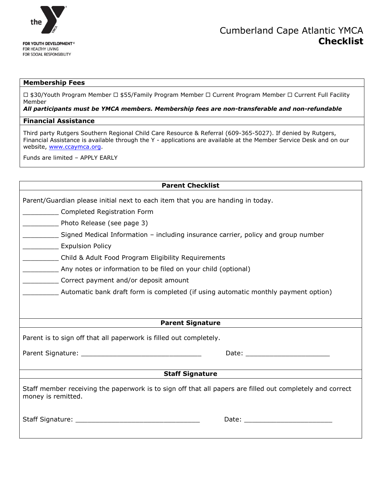

# Cumberland Cape Atlantic YMCA **Checklist**

## **Membership Fees**

 $\Box$  \$30/Youth Program Member  $\Box$  \$55/Family Program Member  $\Box$  Current Program Member  $\Box$  Current Full Facility Member

*All participants must be YMCA members. Membership fees are non-transferable and non-refundable*

## **Financial Assistance**

Third party Rutgers Southern Regional Child Care Resource & Referral (609-365-5027). If denied by Rutgers, Financial Assistance is available through the Y - applications are available at the Member Service Desk and on our website, [www.ccaymca.org.](http://www.ccaymca.org/)

Funds are limited – APPLY EARLY

| <b>Parent Checklist</b>                                                                                                         |
|---------------------------------------------------------------------------------------------------------------------------------|
| Parent/Guardian please initial next to each item that you are handing in today.                                                 |
| Completed Registration Form                                                                                                     |
|                                                                                                                                 |
| Photo Release (see page 3)                                                                                                      |
| Signed Medical Information – including insurance carrier, policy and group number                                               |
| <b>Expulsion Policy</b>                                                                                                         |
| Child & Adult Food Program Eligibility Requirements                                                                             |
| Any notes or information to be filed on your child (optional)                                                                   |
| Correct payment and/or deposit amount                                                                                           |
|                                                                                                                                 |
|                                                                                                                                 |
|                                                                                                                                 |
| <b>Parent Signature</b>                                                                                                         |
| Parent is to sign off that all paperwork is filled out completely.                                                              |
|                                                                                                                                 |
|                                                                                                                                 |
| <b>Staff Signature</b>                                                                                                          |
| Staff member receiving the paperwork is to sign off that all papers are filled out completely and correct<br>money is remitted. |
|                                                                                                                                 |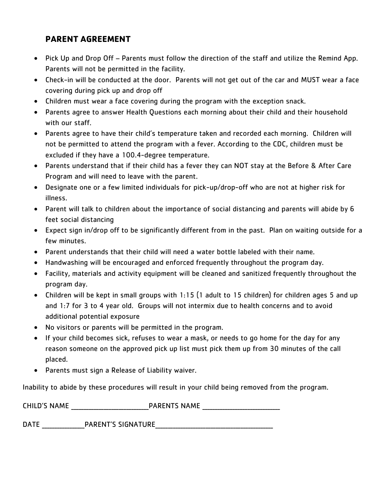# **PARENT AGREEMENT**

- Pick Up and Drop Off Parents must follow the direction of the staff and utilize the Remind App. Parents will not be permitted in the facility.
- Check-in will be conducted at the door. Parents will not get out of the car and MUST wear a face covering during pick up and drop off
- Children must wear a face covering during the program with the exception snack.
- Parents agree to answer Health Questions each morning about their child and their household with our staff.
- Parents agree to have their child's temperature taken and recorded each morning. Children will not be permitted to attend the program with a fever. According to the CDC, children must be excluded if they have a 100.4-degree temperature.
- Parents understand that if their child has a fever they can NOT stay at the Before & After Care Program and will need to leave with the parent.
- Designate one or a few limited individuals for pick-up/drop-off who are not at higher risk for illness.
- Parent will talk to children about the importance of social distancing and parents will abide by 6 feet social distancing
- Expect sign in/drop off to be significantly different from in the past. Plan on waiting outside for a few minutes.
- Parent understands that their child will need a water bottle labeled with their name.
- Handwashing will be encouraged and enforced frequently throughout the program day.
- Facility, materials and activity equipment will be cleaned and sanitized frequently throughout the program day.
- Children will be kept in small groups with 1:15 (1 adult to 15 children) for children ages 5 and up and 1:7 for 3 to 4 year old. Groups will not intermix due to health concerns and to avoid additional potential exposure
- No visitors or parents will be permitted in the program.
- If your child becomes sick, refuses to wear a mask, or needs to go home for the day for any reason someone on the approved pick up list must pick them up from 30 minutes of the call placed.
- Parents must sign a Release of Liability waiver.

Inability to abide by these procedures will result in your child being removed from the program.

| <b>CHILD'S NAME</b> | <b>PARENTS NAME</b> |  |
|---------------------|---------------------|--|
|                     |                     |  |

DATE PARENT'S SIGNATURE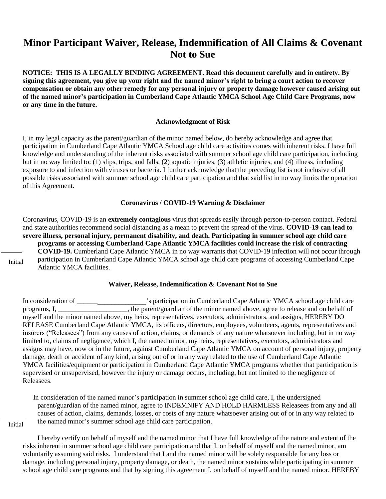# **Minor Participant Waiver, Release, Indemnification of All Claims & Covenant Not to Sue**

**NOTICE: THIS IS A LEGALLY BINDING AGREEMENT. Read this document carefully and in entirety. By signing this agreement, you give up your right and the named minor's right to bring a court action to recover compensation or obtain any other remedy for any personal injury or property damage however caused arising out of the named minor's participation in Cumberland Cape Atlantic YMCA School Age Child Care Programs, now or any time in the future.**

## **Acknowledgment of Risk**

I, in my legal capacity as the parent/guardian of the minor named below, do hereby acknowledge and agree that participation in Cumberland Cape Atlantic YMCA School age child care activities comes with inherent risks. I have full knowledge and understanding of the inherent risks associated with summer school age child care participation, including but in no way limited to: (1) slips, trips, and falls, (2) aquatic injuries, (3) athletic injuries, and (4) illness, including exposure to and infection with viruses or bacteria. I further acknowledge that the preceding list is not inclusive of all possible risks associated with summer school age child care participation and that said list in no way limits the operation of this Agreement.

### **Coronavirus / COVID-19 Warning & Disclaimer**

Coronavirus, COVID-19 is an **extremely contagious** virus that spreads easily through person-to-person contact. Federal and state authorities recommend social distancing as a mean to prevent the spread of the virus. **COVID-19 can lead to severe illness, personal injury, permanent disability, and death. Participating in summer school age child care programs or accessing Cumberland Cape Atlantic YMCA facilities could increase the risk of contracting COVID-19.** Cumberland Cape Atlantic YMCA in no way warrants that COVID-19 infection will not occur through participation in Cumberland Cape Atlantic YMCA school age child care programs of accessing Cumberland Cape Atlantic YMCA facilities.

Initial

## **Waiver, Release, Indemnification & Covenant Not to Sue**

In consideration of \_\_\_\_\_\_\_\_\_\_\_\_\_\_\_\_\_\_\_\_\_\_\_'s participation in Cumberland Cape Atlantic YMCA school age child care programs, I, \_\_\_\_\_\_\_\_\_\_\_\_\_\_\_\_\_\_\_\_, the parent/guardian of the minor named above, agree to release and on behalf of myself and the minor named above, my heirs, representatives, executors, administrators, and assigns, HEREBY DO RELEASE Cumberland Cape Atlantic YMCA, its officers, directors, employees, volunteers, agents, representatives and insurers ("Releasees") from any causes of action, claims, or demands of any nature whatsoever including, but in no way limited to, claims of negligence, which I, the named minor, my heirs, representatives, executors, administrators and assigns may have, now or in the future, against Cumberland Cape Atlantic YMCA on account of personal injury, property damage, death or accident of any kind, arising out of or in any way related to the use of Cumberland Cape Atlantic YMCA facilities/equipment or participation in Cumberland Cape Atlantic YMCA programs whether that participation is supervised or unsupervised, however the injury or damage occurs, including, but not limited to the negligence of Releasees.

 In consideration of the named minor's participation in summer school age child care, I, the undersigned parent/guardian of the named minor, agree to INDEMNIFY AND HOLD HARMLESS Releasees from any and all causes of action, claims, demands, losses, or costs of any nature whatsoever arising out of or in any way related to the named minor's summer school age child care participation.

Initial

I hereby certify on behalf of myself and the named minor that I have full knowledge of the nature and extent of the risks inherent in summer school age child care participation and that I, on behalf of myself and the named minor, am voluntarily assuming said risks. I understand that I and the named minor will be solely responsible for any loss or damage, including personal injury, property damage, or death, the named minor sustains while participating in summer school age child care programs and that by signing this agreement I, on behalf of myself and the named minor, HEREBY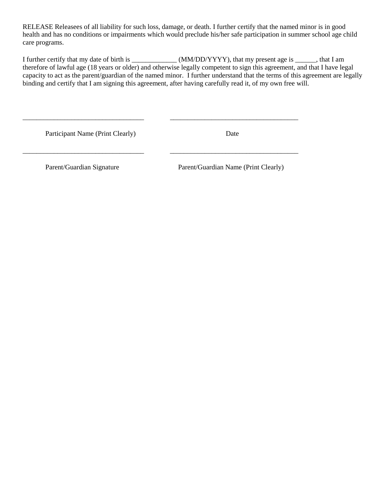RELEASE Releasees of all liability for such loss, damage, or death. I further certify that the named minor is in good health and has no conditions or impairments which would preclude his/her safe participation in summer school age child care programs.

I further certify that my date of birth is \_\_\_\_\_\_\_\_\_\_\_\_\_\_\_(MM/DD/YYYY), that my present age is \_\_\_\_\_\_, that I am therefore of lawful age (18 years or older) and otherwise legally competent to sign this agreement, and that I have legal capacity to act as the parent/guardian of the named minor. I further understand that the terms of this agreement are legally binding and certify that I am signing this agreement, after having carefully read it, of my own free will.

\_\_\_\_\_\_\_\_\_\_\_\_\_\_\_\_\_\_\_\_\_\_\_\_\_\_\_\_\_\_\_\_\_\_\_ \_\_\_\_\_\_\_\_\_\_\_\_\_\_\_\_\_\_\_\_\_\_\_\_\_\_\_\_\_\_\_\_\_\_\_\_\_

\_\_\_\_\_\_\_\_\_\_\_\_\_\_\_\_\_\_\_\_\_\_\_\_\_\_\_\_\_\_\_\_\_\_\_ \_\_\_\_\_\_\_\_\_\_\_\_\_\_\_\_\_\_\_\_\_\_\_\_\_\_\_\_\_\_\_\_\_\_\_\_\_

Participant Name (Print Clearly) Date

Parent/Guardian Signature Parent/Guardian Name (Print Clearly)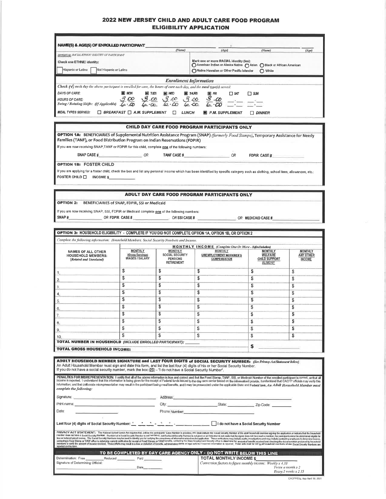### 2022 NEW JERSEY CHILD AND ADULT CARE FOOD PROGRAM **ELIGIBILITY APPLICATION**

| <b>NAME(S) &amp; AGE(S) OF ENROLLED PARTICIPANT</b>                                                                                                  |                               |                                                                                      |                                                                                 |                    |
|------------------------------------------------------------------------------------------------------------------------------------------------------|-------------------------------|--------------------------------------------------------------------------------------|---------------------------------------------------------------------------------|--------------------|
|                                                                                                                                                      | (Name)                        | (Age)                                                                                | (Name)                                                                          | (A <sub>PC</sub> ) |
| <b>OFTION II. RACIAL/ETHNIC IDENTIFY OF PARTICIPANT</b>                                                                                              |                               |                                                                                      |                                                                                 |                    |
| <b>Check one ETHNIC identity:</b><br>Hispanic or Latino<br>Not Hispanic or Latino                                                                    |                               | Mark one or more RACIAL identity (les):<br>Native Hawaiian or Other Pacific Islander | American Indian or Alaska Native ( Aslan C Black or African American<br>( White |                    |
|                                                                                                                                                      | <b>Enrollment Information</b> |                                                                                      |                                                                                 |                    |
| <b>Check <math>\{\sqrt{y}\}</math></b> each day the above participant is enrolled for care, the hours of care each day, and the meal type(s) served: |                               |                                                                                      |                                                                                 |                    |
| DAYS OF CARE:<br><b>III</b> MON<br>TUES<br>▣<br>ИĐ                                                                                                   | <b>THURS</b><br>■冊            | ∏ sun<br>$\Box$ sat                                                                  |                                                                                 |                    |
| ∞<br>00.<br>.co<br><b>HOURS OF CARE:</b><br>Swing / Rotating Shifts: (If Applicable)                                                                 | ઙ<br><u>-00</u><br>$-\infty$  |                                                                                      |                                                                                 |                    |
| <b>MEAL TYPES SERVED:</b><br>BREAKFAST   A.M. SUPPLEMENT                                                                                             | <b>LUNCH</b>                  | P.M. SUPPLEMENT                                                                      | <b>DINNER</b>                                                                   |                    |

#### **CHILD DAY CARE FOOD PROGRAM PARTICIPANTS ONLY**

FDPIR CASE #

 $OR$  MEDICAID CASE #

OPTION 1A: BENEFICIARIES of Supplemental Nutrition Assistance Program (SNAP) (formerly Food Stamps), Temporary Assistance for Needy Families (TANF), or Food Distribution Program on Indian Reservations (FDPIR)

If you are now receiving SNAP, TANF or FDPIR for this child, complete one of the following numbers;

SNAP CASE # OR TANF CASE # OR OR

**OPTION 1B: FOSTER CHILD** 

If you are applying for a foster child, check the box and list any personal income which has been identified by specific calegory such as clothing, school fees, allowances, etc.: FOSTER CHILD □ INCOME \$

#### ADULT DAY CARE FOOD PROGRAM PARTICIPANTS ONLY

**OPTION 2: BENEFICIARIES of SNAP, FDPIR, SSI or Medicald** 

If you are now receiving SNAP, SSI, FDPIR or Medicaid complete one of the following numbers: SNAP# OR FDPIR CASE # $OR$  SSI CASE #

#### OPTION 3: HOUSEHOLD ELIGIBILITY - COMPLETE IF YOU DID NOT COMPLETE OPTION 1A, OPTION 1B, OR OPTION 2 Complete the following information: Household Members, Social Security Numbers and Inco

|                                                                                   | <b>MONTHLY INCOME</b> (Complete One Or More - Betre/keleders) |                                                                                  |                                                          |                                                                            |                                              |  |
|-----------------------------------------------------------------------------------|---------------------------------------------------------------|----------------------------------------------------------------------------------|----------------------------------------------------------|----------------------------------------------------------------------------|----------------------------------------------|--|
| <b>NAMES OF ALL OTHER</b><br><b>HOUSEHOLD MEMBERS:</b><br>(Related and Unrelated) | <b>MONTHLY</b><br>(Gross Earnings)<br><b>WAGES / SALARY</b>   | <b>MONTHLY</b><br><b>SOCIAL SECURITY</b><br><b>PENSIONS</b><br><b>RETIREMENT</b> | <b>MONTHLY</b><br>UNEMPLOYMENT WORKMEN'S<br>COMPENSATION | <b>MONTHLY</b><br><b>WELFARE</b><br><b>CHILD SUPPORT</b><br><b>ALIMONY</b> | <b>MONTHLY</b><br>ANY OTHER<br><b>INCOME</b> |  |
|                                                                                   |                                                               | \$                                                                               |                                                          | J.                                                                         |                                              |  |
|                                                                                   |                                                               |                                                                                  | S                                                        |                                                                            | \$                                           |  |
|                                                                                   |                                                               |                                                                                  |                                                          |                                                                            | S                                            |  |
|                                                                                   |                                                               | \$.                                                                              |                                                          |                                                                            | S                                            |  |
|                                                                                   |                                                               | \$                                                                               |                                                          |                                                                            | \$                                           |  |
|                                                                                   |                                                               |                                                                                  |                                                          |                                                                            |                                              |  |
|                                                                                   | \$                                                            | S                                                                                |                                                          |                                                                            | \$                                           |  |
|                                                                                   |                                                               |                                                                                  |                                                          |                                                                            | \$                                           |  |
|                                                                                   |                                                               |                                                                                  |                                                          |                                                                            | S                                            |  |
|                                                                                   |                                                               |                                                                                  |                                                          |                                                                            | \$                                           |  |
| <b>TOTAL NUMBER IN HOUSEHOLD</b> (INCLUDE ENROLLED PARTICIPANT):                  |                                                               |                                                                                  |                                                          |                                                                            |                                              |  |

ADULT HOUSEHOLD MEMBER SIGNATURE and LAST FOUR DIGITS of SOCIAL SECURITY NUMBER: (See Privacy Act Statement below) An Adult Household Member must sign and date this form, and list the last four (4) digits of his or her Social Security Number.<br>If you do not have a social security number, mark the box ( $\boxtimes$ ) - "I do not have a Social Se

PENALTIES FOR MISREPRESENTATION: I certify that all of the above information is frue and comed and that the Food Stamp, TANF, SSI, or Medicald Number of the enrolled participant is corred, or that all<br>income is reported. I complete the following: Signature: <u>Address: Address: Address:</u> Date: Phone Number: PRIVACY ACT STATEMENT: The Nissoal School Luich Acregates hat, usins the patighats' Case Norder is provided, you must used to book focusty Norder at the abstracted primiter signing the application is related to the hostel

| TO BE COMPLETED BY DAY CARE AGENCY ONLY - DO NOT WRITE BELOW THIS LINE . |                                                            |
|--------------------------------------------------------------------------|------------------------------------------------------------|
| Determination: Free<br>Reduced<br>Paid                                   | <b>TOTAL MONTHLY INCOME \$</b>                             |
| Signature of Determining Official:                                       | Conversion factors to figure monthly income: Weekly x 4.33 |
| Dale                                                                     | Twice $\mu$ month $x$ 2                                    |
|                                                                          | Figury 2 weeks x 2.15.                                     |